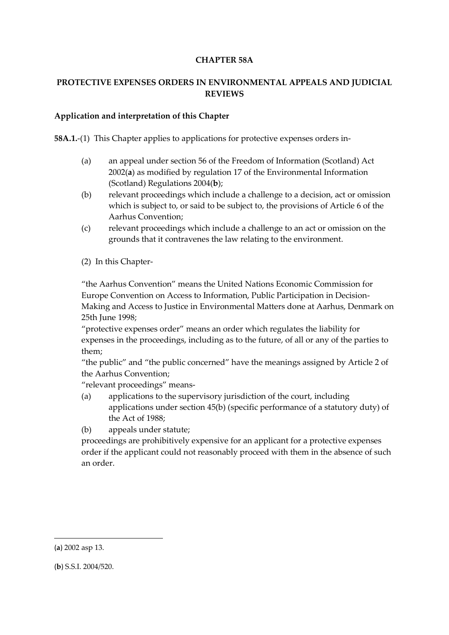### **CHAPTER 58A**

# **PROTECTIVE EXPENSES ORDERS IN ENVIRONMENTAL APPEALS AND JUDICIAL REVIEWS**

### **Application and interpretation of this Chapter**

**58A.1.**-(1) This Chapter applies to applications for protective expenses orders in-

- (a) an appeal under section 56 of the Freedom of Information (Scotland) Act 2002(**a**) as modified by regulation 17 of the Environmental Information (Scotland) Regulations 2004(**b**);
- (b) relevant proceedings which include a challenge to a decision, act or omission which is subject to, or said to be subject to, the provisions of Article 6 of the Aarhus Convention;
- (c) relevant proceedings which include a challenge to an act or omission on the grounds that it contravenes the law relating to the environment.
- (2) In this Chapter-

"the Aarhus Convention" means the United Nations Economic Commission for Europe Convention on Access to Information, Public Participation in Decision-Making and Access to Justice in Environmental Matters done at Aarhus, Denmark on 25th June 1998;

"protective expenses order" means an order which regulates the liability for expenses in the proceedings, including as to the future, of all or any of the parties to them;

"the public" and "the public concerned" have the meanings assigned by Article 2 of the Aarhus Convention;

"relevant proceedings" means-

(a) applications to the supervisory jurisdiction of the court, including applications under section 45(b) (specific performance of a statutory duty) of the Act of 1988;

(b) appeals under statute;

proceedings are prohibitively expensive for an applicant for a protective expenses order if the applicant could not reasonably proceed with them in the absence of such an order.

1

<sup>(</sup>**a**) 2002 asp 13.

<sup>(</sup>**b**) S.S.I. 2004/520.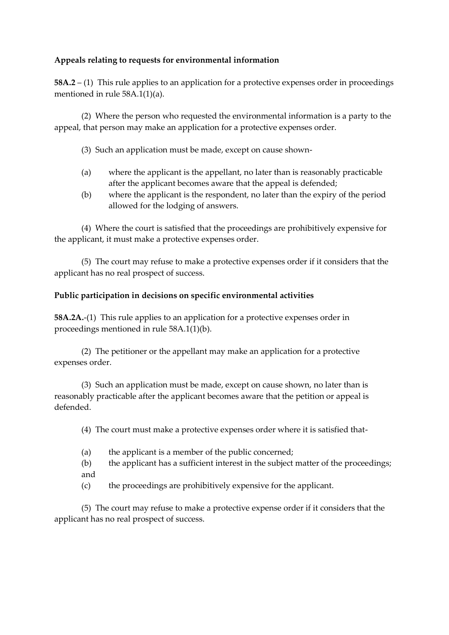## **Appeals relating to requests for environmental information**

**58A.2** – (1) This rule applies to an application for a protective expenses order in proceedings mentioned in rule 58A.1(1)(a).

(2) Where the person who requested the environmental information is a party to the appeal, that person may make an application for a protective expenses order.

- (3) Such an application must be made, except on cause shown-
- (a) where the applicant is the appellant, no later than is reasonably practicable after the applicant becomes aware that the appeal is defended;
- (b) where the applicant is the respondent, no later than the expiry of the period allowed for the lodging of answers.

(4) Where the court is satisfied that the proceedings are prohibitively expensive for the applicant, it must make a protective expenses order.

(5) The court may refuse to make a protective expenses order if it considers that the applicant has no real prospect of success.

## **Public participation in decisions on specific environmental activities**

**58A.2A.**-(1) This rule applies to an application for a protective expenses order in proceedings mentioned in rule 58A.1(1)(b).

(2) The petitioner or the appellant may make an application for a protective expenses order.

(3) Such an application must be made, except on cause shown, no later than is reasonably practicable after the applicant becomes aware that the petition or appeal is defended.

(4) The court must make a protective expenses order where it is satisfied that-

- (a) the applicant is a member of the public concerned;
- (b) the applicant has a sufficient interest in the subject matter of the proceedings; and
- (c) the proceedings are prohibitively expensive for the applicant.

(5) The court may refuse to make a protective expense order if it considers that the applicant has no real prospect of success.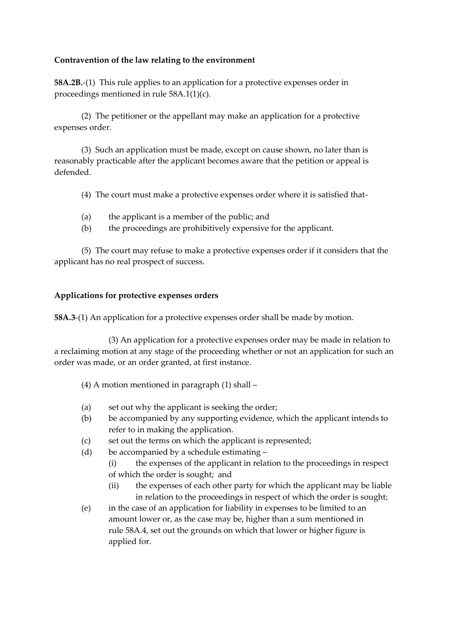### **Contravention of the law relating to the environment**

**58A.2B.**-(1) This rule applies to an application for a protective expenses order in proceedings mentioned in rule 58A.1(1)(c).

(2) The petitioner or the appellant may make an application for a protective expenses order.

(3) Such an application must be made, except on cause shown, no later than is reasonably practicable after the applicant becomes aware that the petition or appeal is defended.

(4) The court must make a protective expenses order where it is satisfied that-

- (a) the applicant is a member of the public; and
- (b) the proceedings are prohibitively expensive for the applicant.

(5) The court may refuse to make a protective expenses order if it considers that the applicant has no real prospect of success.

### **Applications for protective expenses orders**

**58A.3**-(1) An application for a protective expenses order shall be made by motion.

(3) An application for a protective expenses order may be made in relation to a reclaiming motion at any stage of the proceeding whether or not an application for such an order was made, or an order granted, at first instance.

- (4) A motion mentioned in paragraph (1) shall –
- (a) set out why the applicant is seeking the order;
- (b) be accompanied by any supporting evidence, which the applicant intends to refer to in making the application.
- (c) set out the terms on which the applicant is represented;
- (d) be accompanied by a schedule estimating
	- (i) the expenses of the applicant in relation to the proceedings in respect of which the order is sought; and
	- (ii) the expenses of each other party for which the applicant may be liable in relation to the proceedings in respect of which the order is sought;
- (e) in the case of an application for liability in expenses to be limited to an amount lower or, as the case may be, higher than a sum mentioned in rule 58A.4, set out the grounds on which that lower or higher figure is applied for.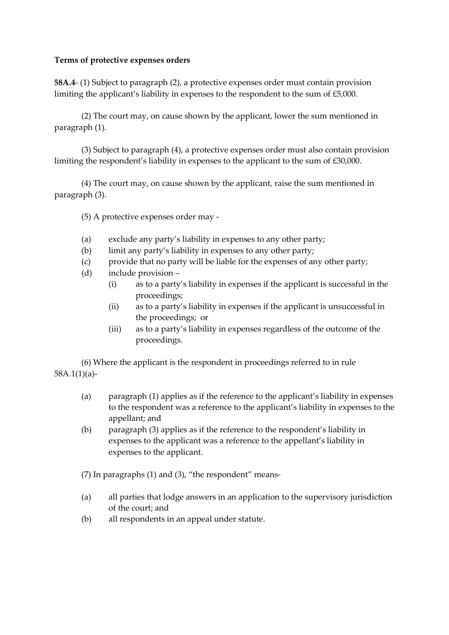### **Terms of protective expenses orders**

**58A.4**- (1) Subject to paragraph (2), a protective expenses order must contain provision limiting the applicant's liability in expenses to the respondent to the sum of £5,000.

(2) The court may, on cause shown by the applicant, lower the sum mentioned in paragraph (1).

(3) Subject to paragraph (4), a protective expenses order must also contain provision limiting the respondent's liability in expenses to the applicant to the sum of £30,000.

(4) The court may, on cause shown by the applicant, raise the sum mentioned in paragraph (3).

(5) A protective expenses order may -

- (a) exclude any party's liability in expenses to any other party;
- (b) limit any party's liability in expenses to any other party;
- (c) provide that no party will be liable for the expenses of any other party;
- (d) include provision
	- (i) as to a party's liability in expenses if the applicant is successful in the proceedings;
	- (ii) as to a party's liability in expenses if the applicant is unsuccessful in the proceedings; or
	- (iii) as to a party's liability in expenses regardless of the outcome of the proceedings.

(6) Where the applicant is the respondent in proceedings referred to in rule 58A.1(1)(a)-

- (a) paragraph (1) applies as if the reference to the applicant's liability in expenses to the respondent was a reference to the applicant's liability in expenses to the appellant; and
- (b) paragraph (3) applies as if the reference to the respondent's liability in expenses to the applicant was a reference to the appellant's liability in expenses to the applicant.

(7) In paragraphs (1) and (3), "the respondent" means-

- (a) all parties that lodge answers in an application to the supervisory jurisdiction of the court; and
- (b) all respondents in an appeal under statute.